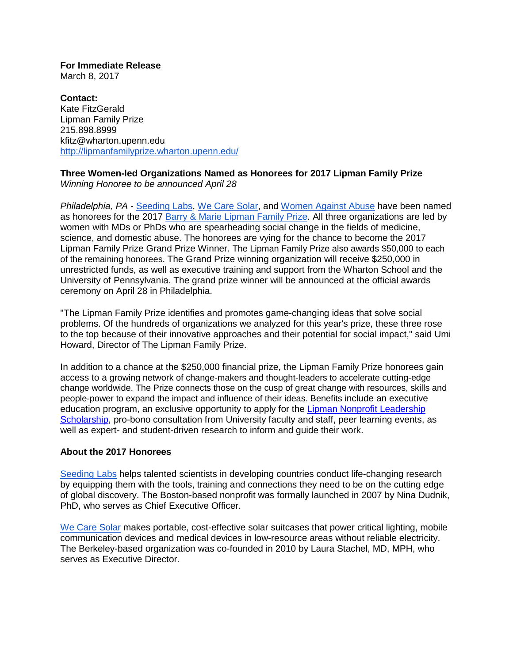**For Immediate Release** March 8, 2017

**Contact:** Kate FitzGerald Lipman Family Prize 215.898.8999 kfitz@wharton.upenn.edu <http://lipmanfamilyprize.wharton.upenn.edu/>

## **Three Women-led Organizations Named as Honorees for 2017 Lipman Family Prize** *Winning Honoree to be announced April 28*

*Philadelphia, PA* - [Seeding Labs,](https://seedinglabs.org/) [We Care Solar,](https://wecaresolar.org/) and [Women Against Abuse](http://www.womenagainstabuse.org/) have been named as honorees for the 2017 [Barry & Marie Lipman Family Prize.](http://lipmanfamilyprize.wharton.upenn.edu/) All three organizations are led by women with MDs or PhDs who are spearheading social change in the fields of medicine, science, and domestic abuse. The honorees are vying for the chance to become the 2017 Lipman Family Prize Grand Prize Winner. The Lipman Family Prize also awards \$50,000 to each of the remaining honorees. The Grand Prize winning organization will receive \$250,000 in unrestricted funds, as well as executive training and support from the Wharton School and the University of Pennsylvania. The grand prize winner will be announced at the official awards ceremony on April 28 in Philadelphia.

"The Lipman Family Prize identifies and promotes game-changing ideas that solve social problems. Of the hundreds of organizations we analyzed for this year's prize, these three rose to the top because of their innovative approaches and their potential for social impact," said Umi Howard, Director of The Lipman Family Prize.

In addition to a chance at the \$250,000 financial prize, the Lipman Family Prize honorees gain access to a growing network of change-makers and thought-leaders to accelerate cutting-edge change worldwide. The Prize connects those on the cusp of great change with resources, skills and people-power to expand the impact and influence of their ideas. Benefits include an executive education program, an exclusive opportunity to apply for the [Lipman Nonprofit Leadership](https://lipmanfamilyprize.wharton.upenn.edu/new-nonprofit-leadership-scholarship/)  [Scholarship,](https://lipmanfamilyprize.wharton.upenn.edu/new-nonprofit-leadership-scholarship/) pro-bono consultation from University faculty and staff, peer learning events, as well as expert- and student-driven research to inform and guide their work.

## **About the 2017 Honorees**

[Seeding Labs](https://seedinglabs.org/) helps talented scientists in developing countries conduct life-changing research by equipping them with the tools, training and connections they need to be on the cutting edge of global discovery. The Boston-based nonprofit was formally launched in 2007 by Nina Dudnik, PhD, who serves as Chief Executive Officer.

[We Care Solar](https://wecaresolar.org/) makes portable, cost-effective solar suitcases that power critical lighting, mobile communication devices and medical devices in low-resource areas without reliable electricity. The Berkeley-based organization was co-founded in 2010 by Laura Stachel, MD, MPH, who serves as Executive Director.